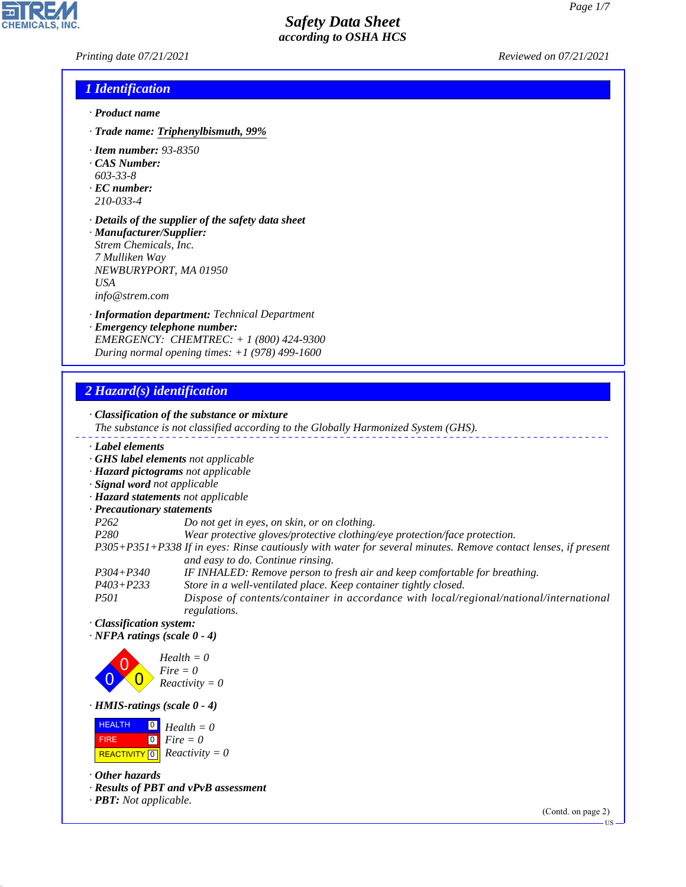*Printing date 07/21/2021 Reviewed on 07/21/2021*

### *1 Identification*

- *· Product name*
- *· Trade name: Triphenylbismuth, 99%*
- *· Item number: 93-8350*
- *· CAS Number:*
- *603-33-8*
- *· EC number: 210-033-4*
- *· Details of the supplier of the safety data sheet · Manufacturer/Supplier: Strem Chemicals, Inc.*
- *7 Mulliken Way NEWBURYPORT, MA 01950 USA info@strem.com*
- *· Information department: Technical Department*
- *· Emergency telephone number: EMERGENCY: CHEMTREC: + 1 (800) 424-9300 During normal opening times: +1 (978) 499-1600*

### *2 Hazard(s) identification*

*· Classification of the substance or mixture The substance is not classified according to the Globally Harmonized System (GHS). · Label elements · GHS label elements not applicable · Hazard pictograms not applicable · Signal word not applicable · Hazard statements not applicable · Precautionary statements P262 Do not get in eyes, on skin, or on clothing. P280 Wear protective gloves/protective clothing/eye protection/face protection. P305+P351+P338 If in eyes: Rinse cautiously with water for several minutes. Remove contact lenses, if present and easy to do. Continue rinsing. P304+P340 IF INHALED: Remove person to fresh air and keep comfortable for breathing. P403+P233 Store in a well-ventilated place. Keep container tightly closed. P501 Dispose of contents/container in accordance with local/regional/national/international*

*regulations. · Classification system:*

*· NFPA ratings (scale 0 - 4)*



*· HMIS-ratings (scale 0 - 4)*

 HEALTH FIRE  $\boxed{\text{REACTIVITY} \boxed{0}}$  Reactivity = 0 0 *Health = 0* 0 *Fire = 0*

*· Other hazards*

44.1.1

*· Results of PBT and vPvB assessment*

*· PBT: Not applicable.*

(Contd. on page 2)



US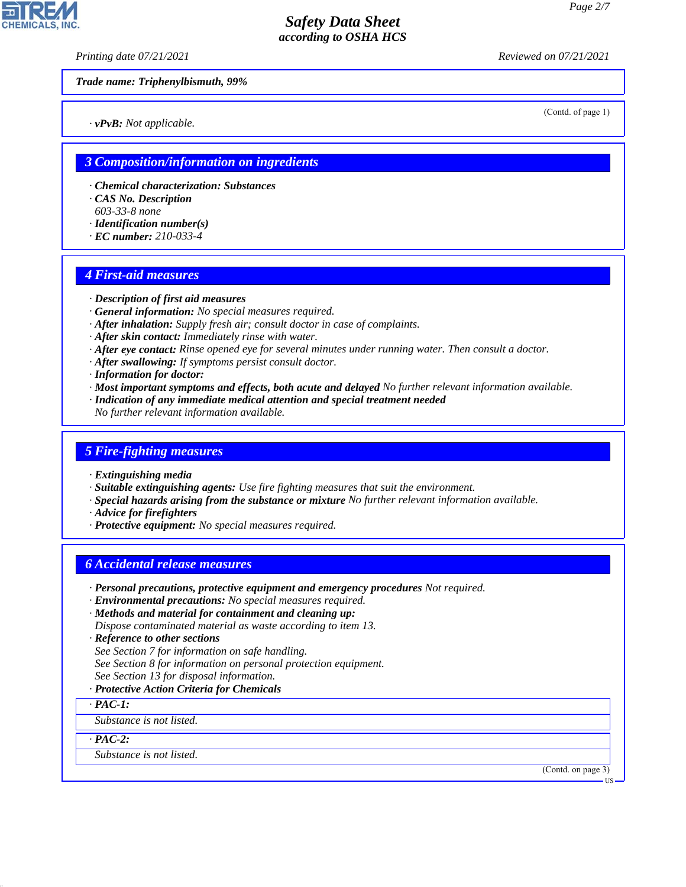*Printing date 07/21/2021 Reviewed on 07/21/2021*

*Trade name: Triphenylbismuth, 99%*

*· vPvB: Not applicable.*

(Contd. of page 1)

### *3 Composition/information on ingredients*

- *· Chemical characterization: Substances*
- *· CAS No. Description*
- *603-33-8 none*
- *· Identification number(s)*
- *· EC number: 210-033-4*

### *4 First-aid measures*

- *· Description of first aid measures*
- *· General information: No special measures required.*
- *· After inhalation: Supply fresh air; consult doctor in case of complaints.*
- *· After skin contact: Immediately rinse with water.*
- *· After eye contact: Rinse opened eye for several minutes under running water. Then consult a doctor.*
- *· After swallowing: If symptoms persist consult doctor.*
- *· Information for doctor:*
- *· Most important symptoms and effects, both acute and delayed No further relevant information available.*
- *· Indication of any immediate medical attention and special treatment needed*
- *No further relevant information available.*

### *5 Fire-fighting measures*

- *· Extinguishing media*
- *· Suitable extinguishing agents: Use fire fighting measures that suit the environment.*
- *· Special hazards arising from the substance or mixture No further relevant information available.*
- *· Advice for firefighters*
- *· Protective equipment: No special measures required.*

### *6 Accidental release measures*

- *· Personal precautions, protective equipment and emergency procedures Not required.*
- *· Environmental precautions: No special measures required.*
- *· Methods and material for containment and cleaning up:*
- *Dispose contaminated material as waste according to item 13.*
- *· Reference to other sections*
- *See Section 7 for information on safe handling.*
- *See Section 8 for information on personal protection equipment.*
- *See Section 13 for disposal information.*
- *· Protective Action Criteria for Chemicals*
- *· PAC-1:*

*Substance is not listed.*

*· PAC-2:*

44.1.1

*Substance is not listed.*

(Contd. on page 3)

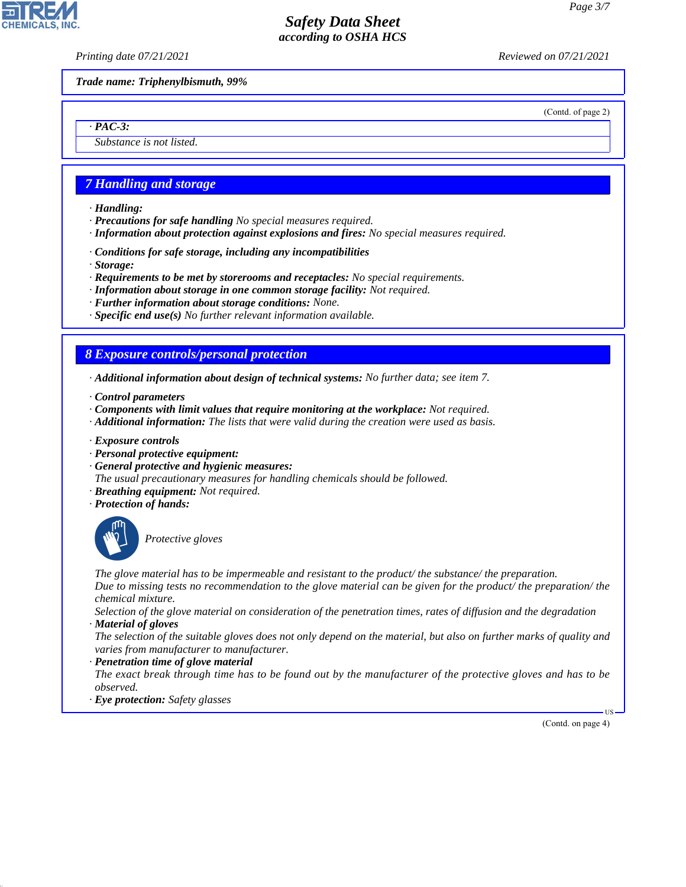**CHEMICALS,** 

*Printing date 07/21/2021 Reviewed on 07/21/2021*

*Trade name: Triphenylbismuth, 99%*

(Contd. of page 2)

*· PAC-3: Substance is not listed.*

### *7 Handling and storage*

- *· Handling:*
- *· Precautions for safe handling No special measures required.*
- *· Information about protection against explosions and fires: No special measures required.*
- *· Conditions for safe storage, including any incompatibilities*
- *· Storage:*
- *· Requirements to be met by storerooms and receptacles: No special requirements.*
- *· Information about storage in one common storage facility: Not required.*
- *· Further information about storage conditions: None.*
- *· Specific end use(s) No further relevant information available.*

### *8 Exposure controls/personal protection*

- *· Additional information about design of technical systems: No further data; see item 7.*
- *· Control parameters*
- *· Components with limit values that require monitoring at the workplace: Not required.*
- *· Additional information: The lists that were valid during the creation were used as basis.*
- *· Exposure controls*
- *· Personal protective equipment:*
- *· General protective and hygienic measures:*
- *The usual precautionary measures for handling chemicals should be followed.*
- *· Breathing equipment: Not required.*
- *· Protection of hands:*



44.1.1

\_S*Protective gloves*

*The glove material has to be impermeable and resistant to the product/ the substance/ the preparation. Due to missing tests no recommendation to the glove material can be given for the product/ the preparation/ the chemical mixture.*

*Selection of the glove material on consideration of the penetration times, rates of diffusion and the degradation · Material of gloves*

*The selection of the suitable gloves does not only depend on the material, but also on further marks of quality and varies from manufacturer to manufacturer.*

#### *· Penetration time of glove material*

*The exact break through time has to be found out by the manufacturer of the protective gloves and has to be observed.*

*· Eye protection: Safety glasses*

(Contd. on page 4)

US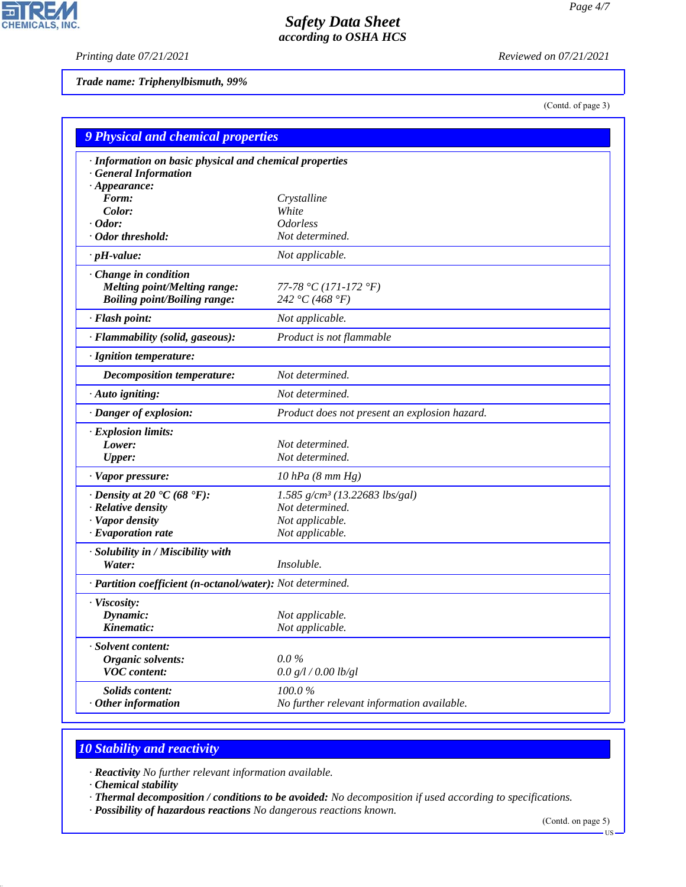*Printing date 07/21/2021 Reviewed on 07/21/2021*

피

CHEMICALS, INC.

*Trade name: Triphenylbismuth, 99%*

(Contd. of page 3)

| <b>9 Physical and chemical properties</b>                                                         |                                               |  |
|---------------------------------------------------------------------------------------------------|-----------------------------------------------|--|
| · Information on basic physical and chemical properties<br><b>General Information</b>             |                                               |  |
| $\cdot$ Appearance:<br>Form:                                                                      |                                               |  |
| Color:                                                                                            | Crystalline<br>White                          |  |
| $\cdot$ Odor:                                                                                     | <b>Odorless</b>                               |  |
| · Odor threshold:                                                                                 | Not determined.                               |  |
| $\cdot$ pH-value:                                                                                 | Not applicable.                               |  |
| Change in condition<br><b>Melting point/Melting range:</b><br><b>Boiling point/Boiling range:</b> | 77-78 °C (171-172 °F)<br>242 °C (468 °F)      |  |
| · Flash point:                                                                                    | Not applicable.                               |  |
| · Flammability (solid, gaseous):                                                                  | Product is not flammable                      |  |
| · Ignition temperature:                                                                           |                                               |  |
| Decomposition temperature:                                                                        | Not determined.                               |  |
| $\cdot$ Auto igniting:                                                                            | Not determined.                               |  |
| · Danger of explosion:                                                                            | Product does not present an explosion hazard. |  |
| · Explosion limits:                                                                               |                                               |  |
| Lower:                                                                                            | Not determined.                               |  |
| <b>Upper:</b>                                                                                     | Not determined.                               |  |
| · Vapor pressure:                                                                                 | $10$ hPa $(8$ mm Hg)                          |  |
| $\cdot$ Density at 20 $\textdegree$ C (68 $\textdegree$ F):                                       | $1.585$ g/cm <sup>3</sup> (13.22683 lbs/gal)  |  |
| · Relative density                                                                                | Not determined.                               |  |
| · Vapor density                                                                                   | Not applicable.                               |  |
| $\cdot$ Evaporation rate                                                                          | Not applicable.                               |  |
| · Solubility in / Miscibility with                                                                |                                               |  |
| Water:                                                                                            | Insoluble.                                    |  |
| · Partition coefficient (n-octanol/water): Not determined.                                        |                                               |  |
| · Viscosity:                                                                                      |                                               |  |
| Dynamic:                                                                                          | Not applicable.                               |  |
| Kinematic:                                                                                        | Not applicable.                               |  |
| · Solvent content:                                                                                |                                               |  |
| Organic solvents:                                                                                 | $0.0\%$                                       |  |
| <b>VOC</b> content:                                                                               | 0.0 g/l / 0.00 lb/gl                          |  |
| Solids content:                                                                                   | 100.0%                                        |  |
| $·$ Other information                                                                             | No further relevant information available.    |  |

# *10 Stability and reactivity*

*· Reactivity No further relevant information available.*

*· Chemical stability*

44.1.1

*· Thermal decomposition / conditions to be avoided: No decomposition if used according to specifications.*

*· Possibility of hazardous reactions No dangerous reactions known.*

(Contd. on page 5)

 $-US$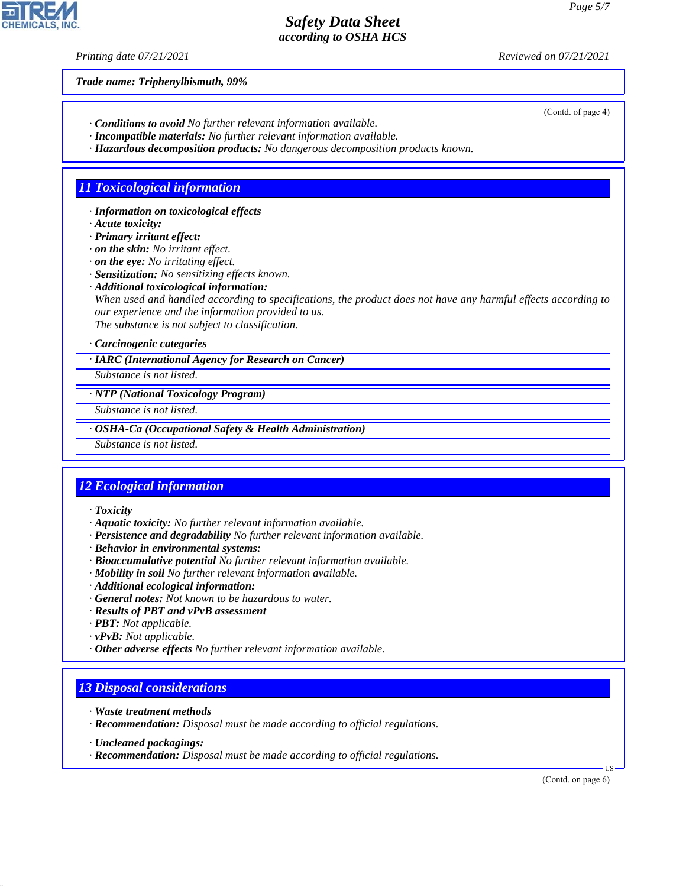*Printing date 07/21/2021 Reviewed on 07/21/2021*

*Trade name: Triphenylbismuth, 99%*

- *· Conditions to avoid No further relevant information available.*
- *· Incompatible materials: No further relevant information available.*
- *· Hazardous decomposition products: No dangerous decomposition products known.*

# *11 Toxicological information*

*· Information on toxicological effects*

*· Acute toxicity:*

*· Primary irritant effect:*

*· on the skin: No irritant effect.*

*· on the eye: No irritating effect.*

*· Sensitization: No sensitizing effects known.*

*· Additional toxicological information:*

*When used and handled according to specifications, the product does not have any harmful effects according to our experience and the information provided to us.*

*The substance is not subject to classification.*

### *· Carcinogenic categories*

*· IARC (International Agency for Research on Cancer)*

*Substance is not listed.*

*· NTP (National Toxicology Program)*

*Substance is not listed.*

*· OSHA-Ca (Occupational Safety & Health Administration)*

*Substance is not listed.*

### *12 Ecological information*

*· Toxicity*

- *· Aquatic toxicity: No further relevant information available.*
- *· Persistence and degradability No further relevant information available.*
- *· Behavior in environmental systems:*
- *· Bioaccumulative potential No further relevant information available.*
- *· Mobility in soil No further relevant information available.*
- *· Additional ecological information:*
- *· General notes: Not known to be hazardous to water.*
- *· Results of PBT and vPvB assessment*
- *· PBT: Not applicable.*
- *· vPvB: Not applicable.*
- *· Other adverse effects No further relevant information available.*

### *13 Disposal considerations*

- *· Waste treatment methods*
- *· Recommendation: Disposal must be made according to official regulations.*
- *· Uncleaned packagings:*

44.1.1

*· Recommendation: Disposal must be made according to official regulations.*

(Contd. on page 6)

US



(Contd. of page 4)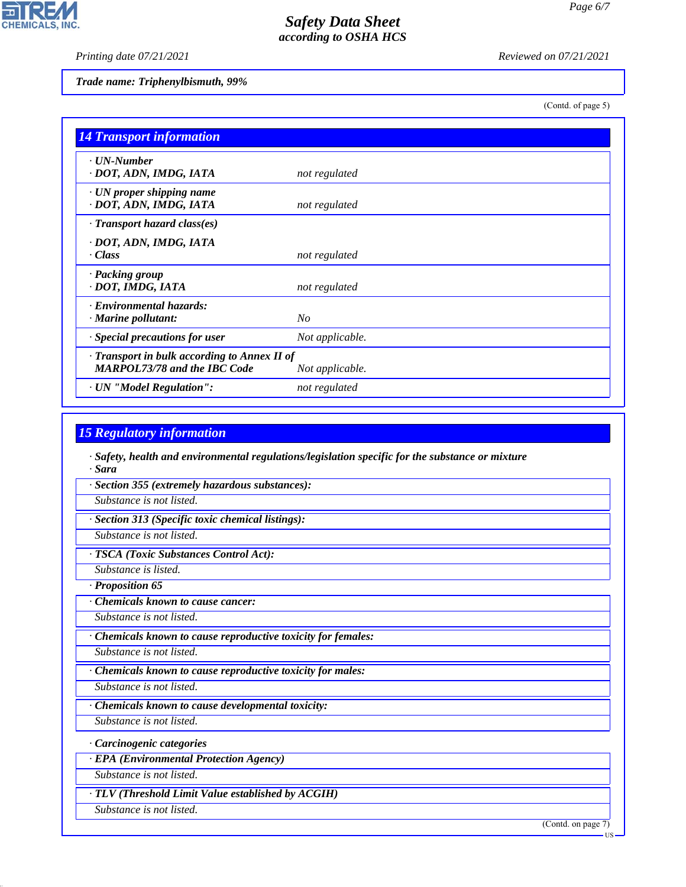*Printing date 07/21/2021 Reviewed on 07/21/2021*

고

**CHEMICALS, INC.** 

#### *Trade name: Triphenylbismuth, 99%*

(Contd. of page 5)

| <b>14 Transport information</b>                                                   |                 |
|-----------------------------------------------------------------------------------|-----------------|
| · UN-Number<br>· DOT, ADN, IMDG, IATA                                             | not regulated   |
| $\cdot$ UN proper shipping name<br>· DOT, ADN, IMDG, IATA                         | not regulated   |
| · Transport hazard class(es)                                                      |                 |
| · DOT, ADN, IMDG, IATA<br>· Class                                                 | not regulated   |
| · Packing group<br>· DOT, IMDG, IATA                                              | not regulated   |
| · Environmental hazards:<br>· Marine pollutant:                                   | N <sub>O</sub>  |
| · Special precautions for user                                                    | Not applicable. |
| Transport in bulk according to Annex II of<br><b>MARPOL73/78 and the IBC Code</b> | Not applicable. |
| · UN "Model Regulation":                                                          | not regulated   |

### *15 Regulatory information*

*· Safety, health and environmental regulations/legislation specific for the substance or mixture · Sara*

*· Section 355 (extremely hazardous substances):*

*Substance is not listed.*

*· Section 313 (Specific toxic chemical listings):*

*Substance is not listed.*

*· TSCA (Toxic Substances Control Act):*

*Substance is listed.*

*· Proposition 65*

*· Chemicals known to cause cancer:*

*Substance is not listed.*

*· Chemicals known to cause reproductive toxicity for females:*

*Substance is not listed.*

*· Chemicals known to cause reproductive toxicity for males:*

*Substance is not listed.*

*· Chemicals known to cause developmental toxicity:*

*Substance is not listed.*

*· Carcinogenic categories*

*· EPA (Environmental Protection Agency)*

*Substance is not listed.*

*· TLV (Threshold Limit Value established by ACGIH)*

*Substance is not listed.*

44.1.1

(Contd. on page 7)

US